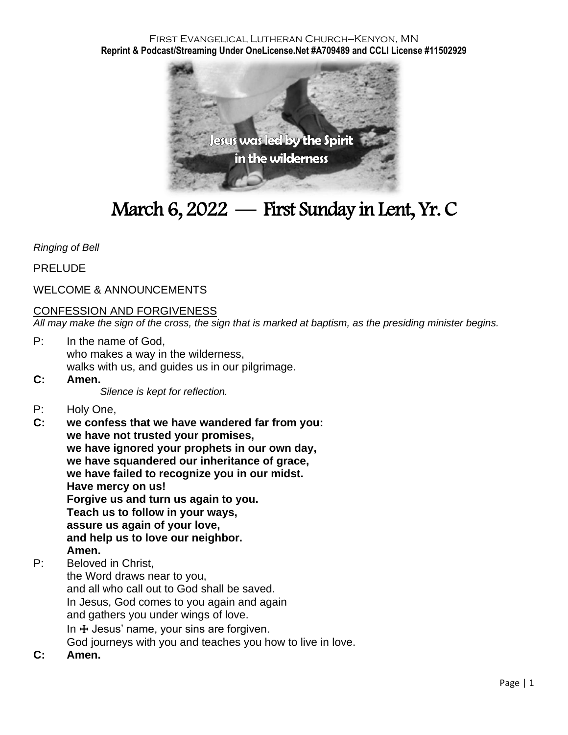#### First Evangelical Lutheran Church—Kenyon, MN **Reprint & Podcast/Streaming Under OneLicense.Net #A709489 and CCLI License #11502929**



# March 6, 2022 — First Sunday in Lent, Yr. C

*Ringing of Bell*

PRELUDE

### WELCOME & ANNOUNCEMENTS

#### CONFESSION AND FORGIVENESS

*All may make the sign of the cross, the sign that is marked at baptism, as the presiding minister begins.*

- P: In the name of God, who makes a way in the wilderness, walks with us, and guides us in our pilgrimage.
- **C: Amen.**

*Silence is kept for reflection.*

- P: Holy One,
- **C: we confess that we have wandered far from you: we have not trusted your promises, we have ignored your prophets in our own day, we have squandered our inheritance of grace, we have failed to recognize you in our midst. Have mercy on us! Forgive us and turn us again to you. Teach us to follow in your ways, assure us again of your love, and help us to love our neighbor. Amen.**
- P: Beloved in Christ,
- the Word draws near to you, and all who call out to God shall be saved. In Jesus, God comes to you again and again and gathers you under wings of love. In  $\pm$  Jesus' name, your sins are forgiven. God journeys with you and teaches you how to live in love.
- **C: Amen.**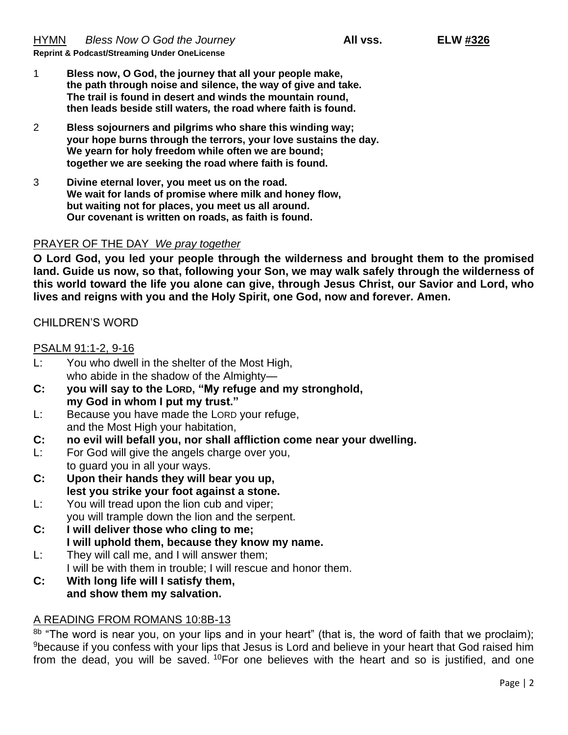- 1 **Bless now, O God, the journey that all your people make, the path through noise and silence, the way of give and take. The trail is found in desert and winds the mountain round, then leads beside still waters***,* **the road where faith is found.**
- 2 **Bless sojourners and pilgrims who share this winding way; your hope burns through the terrors, your love sustains the day. We yearn for holy freedom while often we are bound; together we are seeking the road where faith is found.**
- 3 **Divine eternal lover, you meet us on the road. We wait for lands of promise where milk and honey flow, but waiting not for places, you meet us all around. Our covenant is written on roads, as faith is found.**

#### PRAYER OF THE DAY *We pray together*

**O Lord God, you led your people through the wilderness and brought them to the promised land. Guide us now, so that, following your Son, we may walk safely through the wilderness of this world toward the life you alone can give, through Jesus Christ, our Savior and Lord, who lives and reigns with you and the Holy Spirit, one God, now and forever. Amen.**

#### CHILDREN'S WORD

#### PSALM 91:1-2, 9-16

- L: You who dwell in the shelter of the Most High, who abide in the shadow of the Almighty—
- **C: you will say to the LORD, "My refuge and my stronghold, my God in whom I put my trust."**
- L: Because you have made the LORD your refuge, and the Most High your habitation,
- **C: no evil will befall you, nor shall affliction come near your dwelling.**
- L: For God will give the angels charge over you, to guard you in all your ways.
- **C: Upon their hands they will bear you up, lest you strike your foot against a stone.**
- L: You will tread upon the lion cub and viper; you will trample down the lion and the serpent.
- **C: I will deliver those who cling to me; I will uphold them, because they know my name.**
- L: They will call me, and I will answer them;
	- I will be with them in trouble; I will rescue and honor them.
- **C: With long life will I satisfy them, and show them my salvation.**

### A READING FROM ROMANS 10:8B-13

8b "The word is near you, on your lips and in your heart" (that is, the word of faith that we proclaim); <sup>9</sup> because if you confess with your lips that Jesus is Lord and believe in your heart that God raised him from the dead, you will be saved.  $10$  For one believes with the heart and so is justified, and one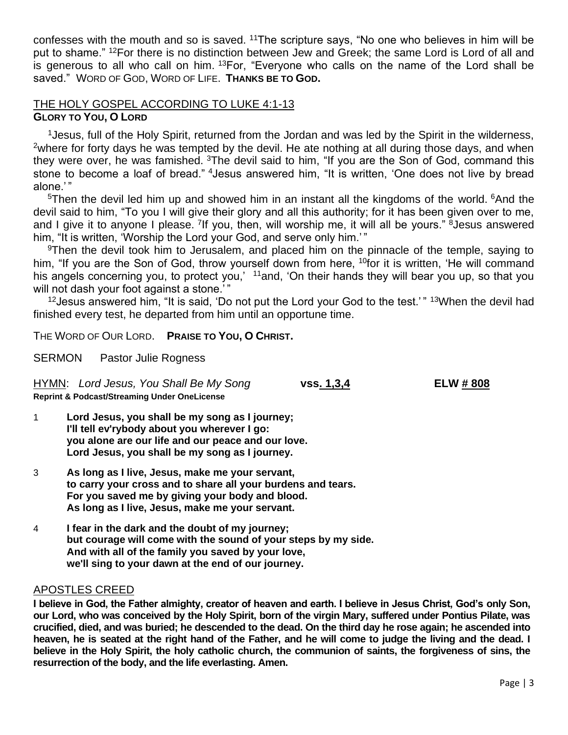confesses with the mouth and so is saved. <sup>11</sup>The scripture says, "No one who believes in him will be put to shame." <sup>12</sup>For there is no distinction between Jew and Greek; the same Lord is Lord of all and is generous to all who call on him.  $13$  For, "Everyone who calls on the name of the Lord shall be saved." WORD OF GOD, WORD OF LIFE. **THANKS BE TO GOD.**

## THE HOLY GOSPEL ACCORDING TO LUKE 4:1-13

### **GLORY TO YOU, O LORD**

<sup>1</sup> Jesus, full of the Holy Spirit, returned from the Jordan and was led by the Spirit in the wilderness, <sup>2</sup>where for forty days he was tempted by the devil. He ate nothing at all during those days, and when they were over, he was famished. <sup>3</sup>The devil said to him, "If you are the Son of God, command this stone to become a loaf of bread." <sup>4</sup>Jesus answered him, "It is written, 'One does not live by bread alone<sup>'</sup>"

 $5$ Then the devil led him up and showed him in an instant all the kingdoms of the world.  $6$ And the devil said to him, "To you I will give their glory and all this authority; for it has been given over to me, and I give it to anyone I please. <sup>7</sup>If you, then, will worship me, it will all be yours." <sup>8</sup>Jesus answered him, "It is written, 'Worship the Lord your God, and serve only him.'"

<sup>9</sup>Then the devil took him to Jerusalem, and placed him on the pinnacle of the temple, saying to him, "If you are the Son of God, throw yourself down from here, <sup>10</sup>for it is written, 'He will command his angels concerning you, to protect you,' 11and, 'On their hands they will bear you up, so that you will not dash your foot against a stone."

 $12$  Jesus answered him, "It is said, 'Do not put the Lord your God to the test.'"  $13$  When the devil had finished every test, he departed from him until an opportune time.

THE WORD OF OUR LORD. **PRAISE TO YOU, O CHRIST.**

SERMON Pastor Julie Rogness

HYMN: *Lord Jesus, You Shall Be My Song* **vss. 1,3,4 ELW # 808 Reprint & Podcast/Streaming Under OneLicense**

1 **Lord Jesus, you shall be my song as I journey; I'll tell ev'rybody about you wherever I go: you alone are our life and our peace and our love. Lord Jesus, you shall be my song as I journey.**

- 3 **As long as I live, Jesus, make me your servant, to carry your cross and to share all your burdens and tears. For you saved me by giving your body and blood. As long as I live, Jesus, make me your servant.**
- 4 **I fear in the dark and the doubt of my journey; but courage will come with the sound of your steps by my side. And with all of the family you saved by your love, we'll sing to your dawn at the end of our journey.**

#### APOSTLES CREED

**I believe in God, the Father almighty, creator of heaven and earth. I believe in Jesus Christ, God's only Son, our Lord, who was conceived by the Holy Spirit, born of the virgin Mary, suffered under Pontius Pilate, was crucified, died, and was buried; he descended to the dead. On the third day he rose again; he ascended into heaven, he is seated at the right hand of the Father, and he will come to judge the living and the dead. I believe in the Holy Spirit, the holy catholic church, the communion of saints, the forgiveness of sins, the resurrection of the body, and the life everlasting. Amen.**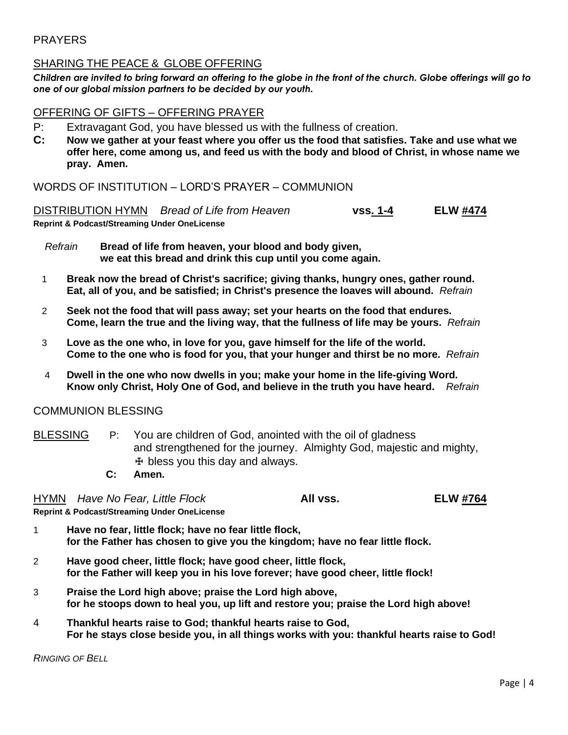#### PRAYERS

#### SHARING THE PEACE & GLOBE OFFERING

*Children are invited to bring forward an offering to the globe in the front of the church. Globe offerings will go to one of our global mission partners to be decided by our youth.*

#### OFFERING OF GIFTS – OFFERING PRAYER

- P: Extravagant God, you have blessed us with the fullness of creation.
- **C: Now we gather at your feast where you offer us the food that satisfies. Take and use what we offer here, come among us, and feed us with the body and blood of Christ, in whose name we pray. Amen.**

WORDS OF INSTITUTION – LORD'S PRAYER – COMMUNION

DISTRIBUTION HYMN *Bread of Life from Heaven* **vss. 1-4 ELW #474 Reprint & Podcast/Streaming Under OneLicense**

 *Refrain* **Bread of life from heaven, your blood and body given, we eat this bread and drink this cup until you come again.**

- 1 **Break now the bread of Christ's sacrifice; giving thanks, hungry ones, gather round. Eat, all of you, and be satisfied; in Christ's presence the loaves will abound.** *Refrain*
- 2 **Seek not the food that will pass away; set your hearts on the food that endures. Come, learn the true and the living way, that the fullness of life may be yours.** *Refrain*
- 3 **Love as the one who, in love for you, gave himself for the life of the world. Come to the one who is food for you, that your hunger and thirst be no more.** *Refrain*
- 4 **Dwell in the one who now dwells in you; make your home in the life-giving Word. Know only Christ, Holy One of God, and believe in the truth you have heard.** *Refrain*

#### COMMUNION BLESSING

- BLESSING P: You are children of God, anointed with the oil of gladness and strengthened for the journey. Almighty God, majestic and mighty,  $H$  bless you this day and always.
	- **C: Amen.**

HYMN *Have No Fear, Little Flock* **All vss. ELW #764**

**Reprint & Podcast/Streaming Under OneLicense** 

1 **Have no fear, little flock; have no fear little flock, for the Father has chosen to give you the kingdom; have no fear little flock.**

- 2 **Have good cheer, little flock; have good cheer, little flock, for the Father will keep you in his love forever; have good cheer, little flock!**
- 3 **Praise the Lord high above; praise the Lord high above, for he stoops down to heal you, up lift and restore you; praise the Lord high above!**
- 4 **Thankful hearts raise to God; thankful hearts raise to God, For he stays close beside you, in all things works with you: thankful hearts raise to God!**

*RINGING OF BELL*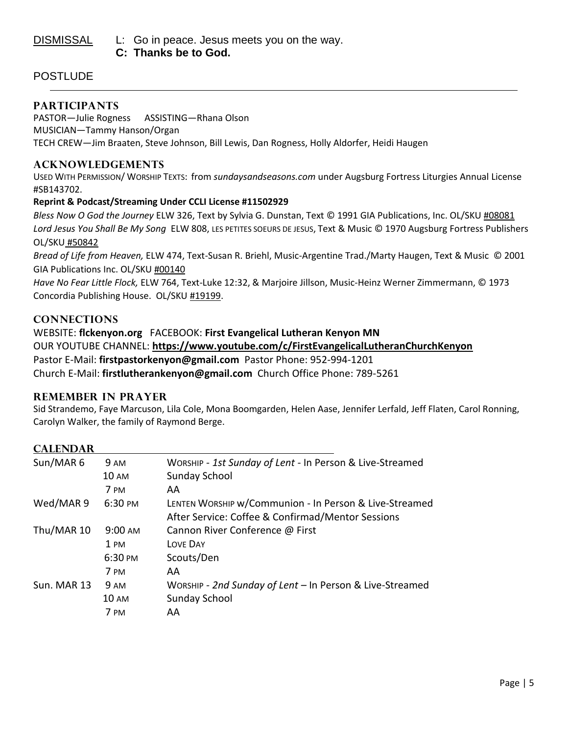DISMISSAL L: Go in peace. Jesus meets you on the way.  **C: Thanks be to God.**

#### **POSTLUDE**

#### **PARTICIPANTS**

PASTOR—Julie Rogness ASSISTING—Rhana Olson MUSICIAN—Tammy Hanson/Organ TECH CREW—Jim Braaten, Steve Johnson, Bill Lewis, Dan Rogness, Holly Aldorfer, Heidi Haugen

#### **ACKNOWLEDGEMENTS**

USED WITH PERMISSION/ WORSHIP TEXTS: from *sundaysandseasons.com* under Augsburg Fortress Liturgies Annual License #SB143702.

#### **Reprint & Podcast/Streaming Under CCLI License #11502929**

*Bless Now O God the Journey* ELW 326, Text by Sylvia G. Dunstan, Text © 1991 GIA Publications, Inc. OL/SKU #08081 *Lord Jesus You Shall Be My Song* ELW 808, LES PETITES SOEURS DE JESUS, Text & Music © 1970 Augsburg Fortress Publishers OL/SKU #50842

*Bread of Life from Heaven,* ELW 474, Text-Susan R. Briehl, Music-Argentine Trad./Marty Haugen, Text & Music © 2001 GIA Publications Inc. OL/SKU #00140

*Have No Fear Little Flock,* ELW 764, Text-Luke 12:32, & Marjoire Jillson, Music-Heinz Werner Zimmermann, © 1973 Concordia Publishing House. OL/SKU #19199.

#### **CONNECTIONS**

WEBSITE: **flckenyon.org** FACEBOOK: **First Evangelical Lutheran Kenyon MN** OUR YOUTUBE CHANNEL: **<https://www.youtube.com/c/FirstEvangelicalLutheranChurchKenyon>** Pastor E-Mail: **[firstpastorkenyon@gmail.com](mailto:firstpastorkenyon@gmail.com)** Pastor Phone: 952-994-1201 Church E-Mail: **[firstlutherankenyon@gmail.com](mailto:firstlutherankenyon@gmail.com)** Church Office Phone: 789-5261

#### **REMEMBER IN PRAYER**

Sid Strandemo, Faye Marcuson, Lila Cole, Mona Boomgarden, Helen Aase, Jennifer Lerfald, Jeff Flaten, Carol Ronning, Carolyn Walker, the family of Raymond Berge.

#### **CALENDAR**

| Sun/MAR 6   | <b>9 AM</b>     | WORSHIP - 1st Sunday of Lent - In Person & Live-Streamed |
|-------------|-----------------|----------------------------------------------------------|
|             | <b>10 AM</b>    | Sunday School                                            |
|             | 7 PM            | AA                                                       |
| Wed/MAR 9   | 6:30 PM         | LENTEN WORSHIP w/Communion - In Person & Live-Streamed   |
|             |                 | After Service: Coffee & Confirmad/Mentor Sessions        |
| Thu/MAR 10  | 9:00 AM         | Cannon River Conference @ First                          |
|             | 1 PM            | LOVE DAY                                                 |
|             | 6:30 PM         | Scouts/Den                                               |
|             | 7 PM            | AA                                                       |
| Sun. MAR 13 | <b>9 AM</b>     | WORSHIP - 2nd Sunday of Lent - In Person & Live-Streamed |
|             | $10 \text{ AM}$ | Sunday School                                            |
|             | 7 PM            | AA                                                       |